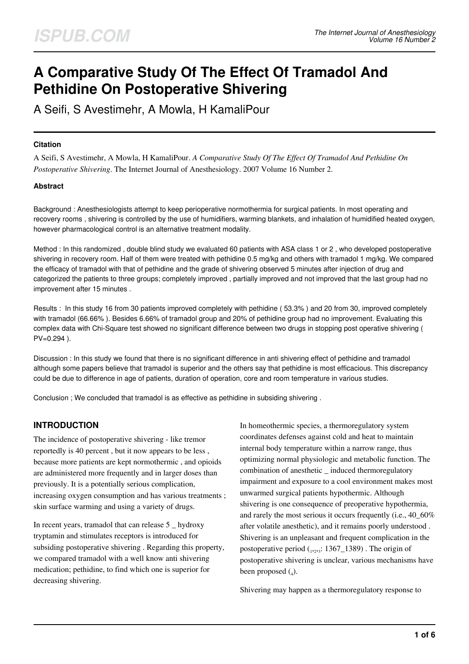# **A Comparative Study Of The Effect Of Tramadol And Pethidine On Postoperative Shivering**

A Seifi, S Avestimehr, A Mowla, H KamaliPour

#### **Citation**

A Seifi, S Avestimehr, A Mowla, H KamaliPour. *A Comparative Study Of The Effect Of Tramadol And Pethidine On Postoperative Shivering*. The Internet Journal of Anesthesiology. 2007 Volume 16 Number 2.

#### **Abstract**

Background : Anesthesiologists attempt to keep perioperative normothermia for surgical patients. In most operating and recovery rooms , shivering is controlled by the use of humidifiers, warming blankets, and inhalation of humidified heated oxygen, however pharmacological control is an alternative treatment modality.

Method : In this randomized , double blind study we evaluated 60 patients with ASA class 1 or 2 , who developed postoperative shivering in recovery room. Half of them were treated with pethidine 0.5 mg/kg and others with tramadol 1 mg/kg. We compared the efficacy of tramadol with that of pethidine and the grade of shivering observed 5 minutes after injection of drug and categorized the patients to three groups; completely improved , partially improved and not improved that the last group had no improvement after 15 minutes .

Results : In this study 16 from 30 patients improved completely with pethidine ( 53.3% ) and 20 from 30, improved completely with tramadol (66.66% ). Besides 6.66% of tramadol group and 20% of pethidine group had no improvement. Evaluating this complex data with Chi-Square test showed no significant difference between two drugs in stopping post operative shivering ( PV=0.294 ).

Discussion : In this study we found that there is no significant difference in anti shivering effect of pethidine and tramadol although some papers believe that tramadol is superior and the others say that pethidine is most efficacious. This discrepancy could be due to difference in age of patients, duration of operation, core and room temperature in various studies.

Conclusion ; We concluded that tramadol is as effective as pethidine in subsiding shivering .

## **INTRODUCTION**

The incidence of postoperative shivering - like tremor reportedly is 40 percent , but it now appears to be less , because more patients are kept normothermic , and opioids are administered more frequently and in larger doses than previously. It is a potentially serious complication, increasing oxygen consumption and has various treatments ; skin surface warming and using a variety of drugs.

In recent years, tramadol that can release 5 \_ hydroxy tryptamin and stimulates receptors is introduced for subsiding postoperative shivering . Regarding this property, we compared tramadol with a well know anti shivering medication; pethidine, to find which one is superior for decreasing shivering.

In homeothermic species, a thermoregulatory system coordinates defenses against cold and heat to maintain internal body temperature within a narrow range, thus optimizing normal physiologic and metabolic function. The combination of anesthetic \_ induced thermoregulatory impairment and exposure to a cool environment makes most unwarmed surgical patients hypothermic. Although shivering is one consequence of preoperative hypothermia, and rarely the most serious it occurs frequently (i.e., 40\_60% after volatile anesthetic), and it remains poorly understood . Shivering is an unpleasant and frequent complication in the postoperative period  $_{(1,2,3)}$ : 1367\_1389). The origin of postoperative shivering is unclear, various mechanisms have been proposed (4).

Shivering may happen as a thermoregulatory response to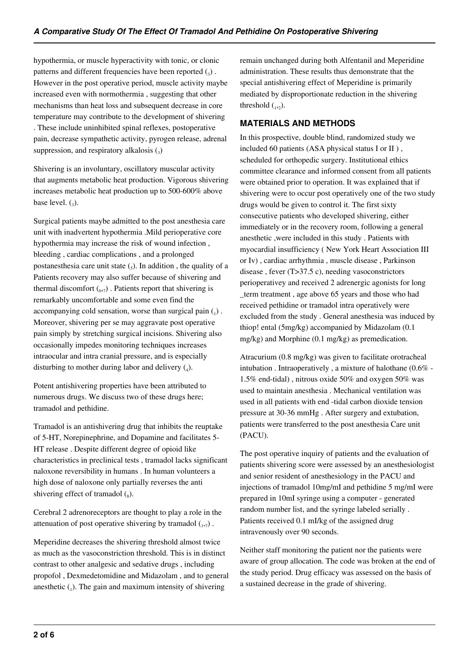hypothermia, or muscle hyperactivity with tonic, or clonic patterns and different frequencies have been reported  $(_{3})$ . However in the post operative period, muscle activity maybe increased even with normothermia , suggesting that other mechanisms than heat loss and subsequent decrease in core temperature may contribute to the development of shivering . These include uninhibited spinal reflexes, postoperative pain, decrease sympathetic activity, pyrogen release, adrenal suppression, and respiratory alkalosis  $\left($ <sub>3</sub> $\right)$ 

Shivering is an involuntary, oscillatory muscular activity that augments metabolic heat production. Vigorous shivering increases metabolic heat production up to 500-600% above base level.  $(_{3})$ .

Surgical patients maybe admitted to the post anesthesia care unit with inadvertent hypothermia .Mild perioperative core hypothermia may increase the risk of wound infection , bleeding , cardiac complications , and a prolonged postanesthesia care unit state  $\left($ <sub>5</sub> $\right)$ . In addition, the quality of a Patients recovery may also suffer because of shivering and thermal discomfort  $\binom{6}{6}$ . Patients report that shivering is remarkably uncomfortable and some even find the accompanying cold sensation, worse than surgical pain  $(_{1})$ . Moreover, shivering per se may aggravate post operative pain simply by stretching surgical incisions. Shivering also occasionally impedes monitoring techniques increases intraocular and intra cranial pressure, and is especially disturbing to mother during labor and delivery  $(_4)$ .

Potent antishivering properties have been attributed to numerous drugs. We discuss two of these drugs here; tramadol and pethidine.

Tramadol is an antishivering drug that inhibits the reuptake of 5-HT, Norepinephrine, and Dopamine and facilitates 5- HT release . Despite different degree of opioid like characteristics in preclinical tests , tramadol lacks significant naloxone reversibility in humans . In human volunteers a high dose of naloxone only partially reverses the anti shivering effect of tramadol  $\binom{8}{8}$ .

Cerebral 2 adrenoreceptors are thought to play a role in the attenuation of post operative shivering by tramadol  $_{1,7}$ ).

Meperidine decreases the shivering threshold almost twice as much as the vasoconstriction threshold. This is in distinct contrast to other analgesic and sedative drugs , including propofol , Dexmedetomidine and Midazolam , and to general anesthetic  $_{(1)}$ . The gain and maximum intensity of shivering

remain unchanged during both Alfentanil and Meperidine administration. These results thus demonstrate that the special antishivering effect of Meperidine is primarily mediated by disproportionate reduction in the shivering threshold  $_{1,2}$ ).

## **MATERIALS AND METHODS**

In this prospective, double blind, randomized study we included 60 patients (ASA physical status I or II ) , scheduled for orthopedic surgery. Institutional ethics committee clearance and informed consent from all patients were obtained prior to operation. It was explained that if shivering were to occur post operatively one of the two study drugs would be given to control it. The first sixty consecutive patients who developed shivering, either immediately or in the recovery room, following a general anesthetic ,were included in this study . Patients with myocardial insufficiency ( New York Heart Association III or Iv) , cardiac arrhythmia , muscle disease , Parkinson disease , fever (T>37.5 c), needing vasoconstrictors perioperativey and received 2 adrenergic agonists for long \_term treatment , age above 65 years and those who had received pethidine or tramadol intra operatively were excluded from the study . General anesthesia was induced by thiop! ental (5mg/kg) accompanied by Midazolam (0.1 mg/kg) and Morphine (0.1 mg/kg) as premedication.

Atracurium (0.8 mg/kg) was given to facilitate orotracheal intubation . Intraoperatively , a mixture of halothane (0.6% - 1.5% end-tidal) , nitrous oxide 50% and oxygen 50% was used to maintain anesthesia . Mechanical ventilation was used in all patients with end -tidal carbon dioxide tension pressure at 30-36 mmHg . After surgery and extubation, patients were transferred to the post anesthesia Care unit (PACU).

The post operative inquiry of patients and the evaluation of patients shivering score were assessed by an anesthesiologist and senior resident of anesthesiology in the PACU and injections of tramadol 10mg/mI and pethidine 5 mg/mI were prepared in 10mI syringe using a computer - generated random number list, and the syringe labeled serially . Patients received 0.1 mI/kg of the assigned drug intravenously over 90 seconds.

Neither staff monitoring the patient nor the patients were aware of group allocation. The code was broken at the end of the study period. Drug efficacy was assessed on the basis of a sustained decrease in the grade of shivering.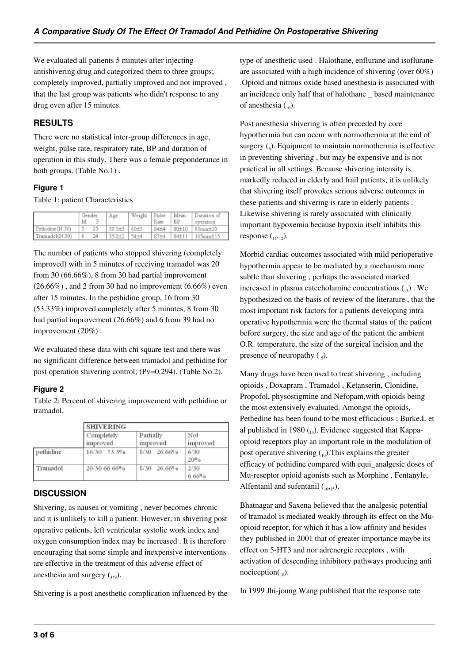We evaluated all patients 5 minutes after injecting antishivering drug and categorized them to three groups; completely improved, partially improved and not improved , that the last group was patients who didn't response to any drug even after 15 minutes.

## **RESULTS**

There were no statistical inter-group differences in age, weight, pulse rate, respiratory rate, BP and duration of operation in this study. There was a female preponderance in both groups. (Table No.1) .

### **Figure 1**

Table 1: patient Characteristics

|                  | Gender<br>M | Age        | Weight   | Pulse<br>Rate | Mean<br>BP | Duration of<br>operation |
|------------------|-------------|------------|----------|---------------|------------|--------------------------|
| Pethidine (N:30) | 25          | $30.5 + 3$ | $60 + 3$ | 84±4          | $80 + 10$  | $95min+20$               |
| Tramadol(N:30)   | 24<br>6     | 35.2±2     | $54 + 4$ | 87±4          | $84 + 11$  | $105$ min $\pm$ 15       |

The number of patients who stopped shivering (completely improved) with in 5 minutes of receiving tramadol was 20 from 30 (66.66%), 8 from 30 had partial improvement  $(26.66\%)$ , and 2 from 30 had no improvement  $(6.66\%)$  even after 15 minutes. In the pethidine group, 16 from 30 (53.33%) improved completely after 5 minutes, 8 from 30 had partial improvement (26.66%) and 6 from 39 had no improvement (20%) .

We evaluated these data with chi square test and there was no significant difference between tramadol and pethidine for post operation shivering control; (Pv=0.294). (Table No.2).

#### **Figure 2**

Table 2: Percent of shivering improvement with pethidine or tramadol.

|           | <b>SHIVERING</b>       |                       |                 |  |  |
|-----------|------------------------|-----------------------|-----------------|--|--|
|           | Completely<br>improved | Partially<br>improved | Not<br>improved |  |  |
| pethidine | 16/30 53.3%            | 8/30 26.66%           | 6/30<br>20%     |  |  |
| Tramadol  | 20/30 66.66%           | 8/30<br>26.66%        | 2/30<br>6.66%   |  |  |

## **DISCUSSION**

Shivering, as nausea or vomiting , never becomes chronic and it is unlikely to kill a patient. However, in shivering post operative patients, left ventricular systolic work index and oxygen consumption index may be increased . It is therefore encouraging that some simple and inexpensive interventions are effective in the treatment of this adverse effect of anesthesia and surgery  $(_{4,9})$ .

Shivering is a post anesthetic complication influenced by the

type of anesthetic used . Halothane, enflurane and isoflurane are associated with a high incidence of shivering (over 60%) .Opioid and nitrous oxide based anesthesia is associated with an incidence only half that of halothane \_ based maintenance of anesthesia  $\binom{10}{10}$ .

Post anesthesia shivering is often preceded by core hypothermia but can occur with normothermia at the end of surgery  $\binom{6}{6}$ . Equipment to maintain normothermia is effective in preventing shivering , but may be expensive and is not practical in all settings. Because shivering intensity is markedly reduced in elderly and frail patients, it is unlikely that shivering itself provokes serious adverse outcomes in these patients and shivering is rare in elderly patients . Likewise shivering is rarely associated with clinically important hypoxemia because hypoxia itself inhibits this response  $\binom{11}{12}$ .

Morbid cardiac outcomes associated with mild perioperative hypothermia appear to be mediated by a mechanism more subtle than shivering , perhaps the associated marked increased in plasma catecholamine concentrations  $\binom{13}{13}$ . We hypothesized on the basis of review of the literature , that the most important risk factors for a patients developing intra operative hypothermia were the thermal status of the patient before surgery, the size and age of the patient the ambient O.R. temperature, the size of the surgical incision and the presence of neuropathy  $\left(\frac{1}{2}\right)$ .

Many drugs have been used to treat shivering , including opioids , Doxapram , Tramadol , Ketanserin, Clonidine, Propofol, physostigmine and Nefopam,with opioids being the most extensively evaluated. Amongst the opioids, Pethedine has been found to be most efficacious ; Burke.L et al published in 1980  $_{(14)}$ . Evidence suggested that Kappaopioid receptors play an important role in the modulation of post operative shivering  $_{(10)}$ . This explains the greater efficacy of pethidine compared with equi\_analgesic doses of Mu-reseptor opioid agonists such as Morphine , Fentanyle, Alfentanil and sufentanil  $\binom{10,15}{10,15}$ .

Bhatnagar and Saxena believed that the analgesic potential of tramadol is mediated weakly through its effect on the Muopioid receptor, for which it has a low affinity and besides they published in 2001 that of greater importance maybe its effect on 5-HT3 and nor adrenergic receptors , with activation of descending inhibitory pathways producing anti  $nociception(10)$ .

In 1999 Jhi-joung Wang published that the response rate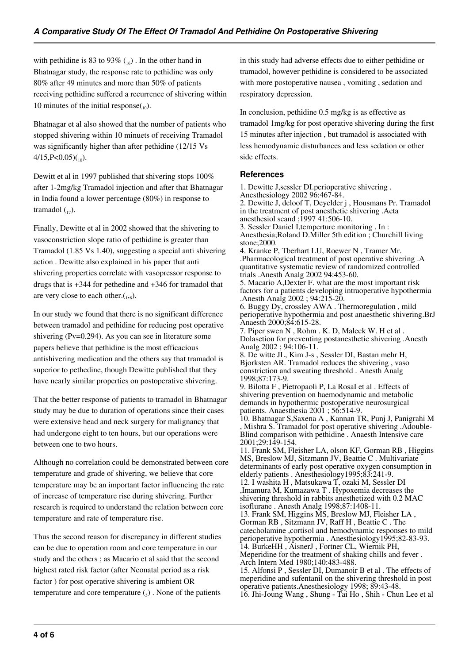with pethidine is 83 to 93%  $\binom{16}{16}$ . In the other hand in Bhatnagar study, the response rate to pethidine was only 80% after 49 minutes and more than 50% of patients receiving pethidine suffered a recurrence of shivering within 10 minutes of the initial response $_{(10)}$ .

Bhatnagar et al also showed that the number of patients who stopped shivering within 10 minuets of receiving Tramadol was significantly higher than after pethidine (12/15 Vs  $4/15$ , P<0.05)(<sub>10</sub>).

Dewitt et al in 1997 published that shivering stops 100% after 1-2mg/kg Tramadol injection and after that Bhatnagar in India found a lower percentage (80%) in response to tramadol  $\binom{1}{17}$ .

Finally, Dewitte et al in 2002 showed that the shivering to vasoconstriction slope ratio of pethidine is greater than Tramadol (1.85 Vs 1.40), suggesting a special anti shivering action . Dewitte also explained in his paper that anti shivering properties correlate with vasopressor response to drugs that is +344 for pethedine and +346 for tramadol that are very close to each other. $\binom{1}{8}$ .

In our study we found that there is no significant difference between tramadol and pethidine for reducing post operative shivering (Pv=0.294). As you can see in literature some papers believe that pethidine is the most efficacious antishivering medication and the others say that tramadol is superior to pethedine, though Dewitte published that they have nearly similar properties on postoperative shivering.

That the better response of patients to tramadol in Bhatnagar study may be due to duration of operations since their cases were extensive head and neck surgery for malignancy that had undergone eight to ten hours, but our operations were between one to two hours.

Although no correlation could be demonstrated between core temperature and grade of shivering, we believe that core temperature may be an important factor influencing the rate of increase of temperature rise during shivering. Further research is required to understand the relation between core temperature and rate of temperature rise.

Thus the second reason for discrepancy in different studies can be due to operation room and core temperature in our study and the others ; as Macario et al said that the second highest rated risk factor (after Neonatal period as a risk factor ) for post operative shivering is ambient OR temperature and core temperature  $(_{5})$ . None of the patients

in this study had adverse effects due to either pethidine or tramadol, however pethidine is considered to be associated with more postoperative nausea , vomiting , sedation and respiratory depression.

In conclusion, pethidine 0.5 mg/kg is as effective as tramadol 1mg/kg for post operative shivering during the first 15 minutes after injection , but tramadol is associated with less hemodynamic disturbances and less sedation or other side effects.

#### **References**

1. Dewitte J,sessler DI.perioperative shivering . Anesthesiology 2002 96:467-84. 2. Dewitte J, deloof T, Deyelder j , Housmans Pr. Tramadol in the treatment of post anesthetic shivering .Acta anesthesiol scand ;1997 41:506-10. 3. Sessler Daniel I,temperture monitoring . In : Anesthesia;Roland D.Miller 5th edition ; Churchill living stone;2000. 4. Kranke P, Tberhart LU, Roewer N , Tramer Mr. .Pharmacological treatment of post operative shivering .A quantitative systematic review of randomized controlled trials .Anesth Analg 2002 94:453-60. 5. Macario A,Dexter F. what are the most important risk factors for a patients developing intraoperative hypothermia .Anesth Analg 2002 ; 94:215-20. 6. Buggy Dy, crossley AWA . Thermoregulation , mild perioperative hypothermia and post anaesthetic shivering.BrJ Anaesth 2000;84:615-28. 7. Piper swen N , Rohm . K. D, Maleck W. H et al . Dolasetion for preventing postanesthetic shivering .Anesth Analg 2002 ; 94:106-11. 8. De witte JL, Kim J-s , Sessler DI, Bastan mehr H, Bjorksten AR. Tramadol reduces the shivering , vaso constriction and sweating threshold . Anesth Analg 1998;87:173-9. 9. Bilotta F , Pietropaoli P, La RosaI et al . Effects of shivering prevention on haemodynamic and metabolic demands in hypothermic postoperative neurosurgical patients. Anaesthesia 2001 ; 56:514-9. 10. Bhatnagar S,Saxena A , Kannan TR, Punj J, Panigrahi M , Mishra S. Tramadol for post operative shivering .Adouble-Blind comparison with pethidine . Anaesth Intensive care 2001;29:149-154. 11. Frank SM, Fleisher LA, olson KF, Gorman RB , Higgins MS, Breslow MJ, Sitzmann JV, Beattie C . Multivariate determinants of early post operative oxygen consumption in elderly patients . Anesthesiology1995;83:241-9. 12. I washita H , Matsukawa T, ozaki M, Sessler DI ,Imamura M, Kumazawa T . Hypoxemia decreases the shivering threshold in rabbits anesthetized with 0.2 MAC isoflurane . Anesth Analg 1998;87:1408-11. 13. Frank SM, Higgins MS, Breslow MJ, Fleisher LA , Gorman RB , Sitzmann JV, Raff H , Beattie C . The catecholamine ,cortisol and hemodynamic responses to mild perioperative hypothermia . Anesthesiology1995;82-83-93. 14. BurkeHH , AisnerJ , Fortner CL, Wiernik PH, Meperidine for the treatment of shaking chills and fever . Arch Intern Med 1980;140:483-488. 15. Alfonsi P , Sessler DI, Dumanoir B et al . The effects of meperidine and sufentanil on the shivering threshold in post operative patients.Anesthesiology 1998; 89:43-48. 16. Jhi-Joung Wang , Shung - Tai Ho , Shih - Chun Lee et al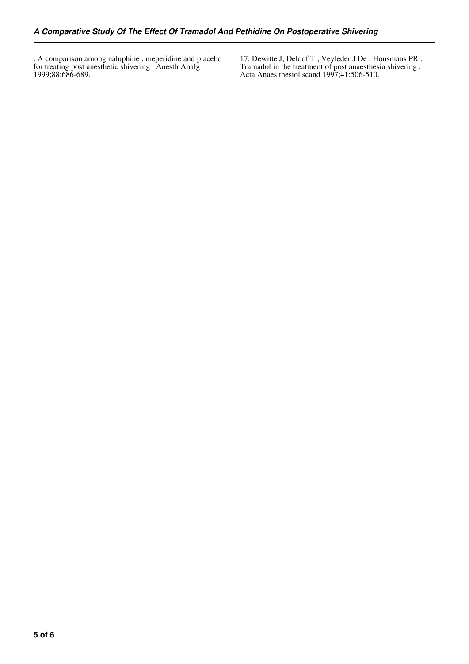. A comparison among naluphine , meperidine and placebo for treating post anesthetic shivering . Anesth Analg 1999;88:686-689.

17. Dewitte J, Deloof T , Veyleder J De , Housmans PR . Tramadol in the treatment of post anaesthesia shivering . Acta Anaes thesiol scand 1997;41:506-510.